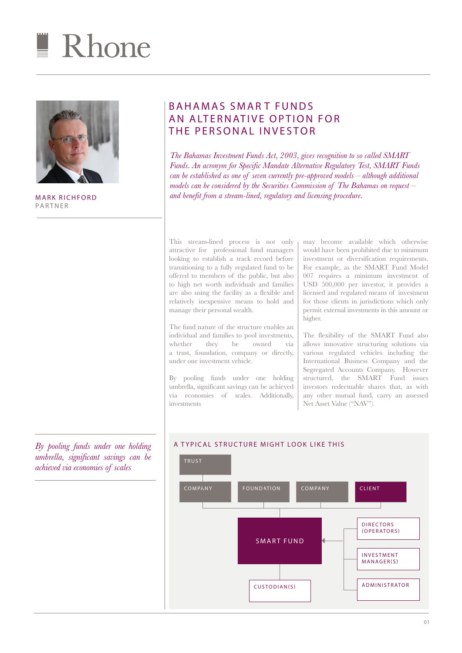



MARK RICHFORD PARTNER

BAHAMAS SMART FUNDS AN ALTERNATIVE OPTION FOR THE PERSONAL INVESTOR

*The Bahamas Investment Funds Act, 2003, gives recognition to so called SMART Funds. An acronym for Specific Mandate Alternative Regulatory Test, SMART Funds can be established as one of seven currently pre-approved models – although additional models can be considered by the Securities Commission of The Bahamas on request – and benefit from a stream-lined, regulatory and licensing procedure.* 

This stream-lined process is not only attractive for professional fund managers looking to establish a track record before transitioning to a fully regulated fund to be offered to members of the public, but also to high net worth individuals and families are also using the facility as a flexible and relatively inexpensive means to hold and manage their personal wealth.

The fund nature of the structure enables an individual and families to pool investments,<br>whether they be owned via whether they be owned via a trust, foundation, company or directly, under one investment vehicle.

By pooling funds under one holding umbrella, significant savings can be achieved via economies of scales. Additionally, investments

may become available which otherwise would have been prohibited due to minimum investment or diversification requirements. For example, as the SMART Fund Model 007 requires a minimum investment of USD 500,000 per investor, it provides a licensed and regulated means of investment for those clients in jurisdictions which only permit external investments in this amount or higher.

The flexibility of the SMART Fund also allows innovative structuring solutions via various regulated vehicles including the International Business Company and the Segregated Accounts Company. However structured, the SMART Fund issues investors redeemable shares that, as with any other mutual fund, carry an assessed Net Asset Value ("NAV").



## *By pooling funds under one holding* | A TYPICAL STRUCTURE MIGHT LOOK LIKE THIS *umbrella, significant savings can be achieved via economies of scales*